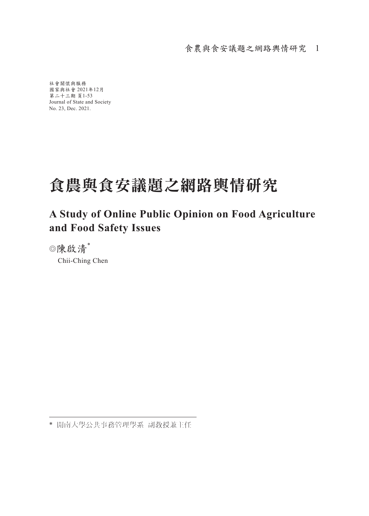社會關懷與服務 國家與社會 2021年12月 第二十三期 頁1-53 Journal of State and Society No. 23, Dec. 2021.

# 食農與食安議題之網路輿情研究

### **A Study of Online Public Opinion on Food Agriculture and Food Safety Issues**

◎陳啟清\* Chii-Ching Chen

\* 開南大學公共事務管理學系 副教授兼主任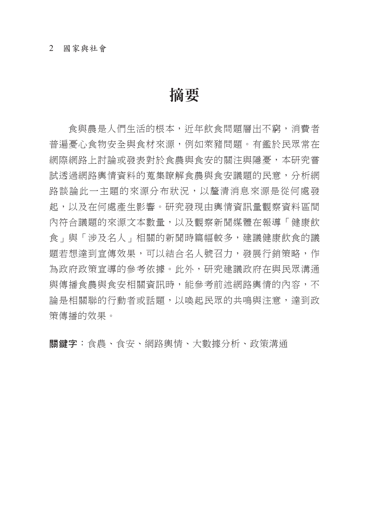#### 2 國家與社會

# 摘要

食與農是人們生活的根本,近年飲食問題層出不窮,消費者 普遍憂心食物安全與食材來源,例如萊豬問題。有鑑於民眾常在 網際網路上討論或發表對於食農與食安的關注與隱憂,本研究嘗 試透過網路輿情資料的蒐集瞭解食農與食安議題的民意,分析網 路談論此一主題的來源分布狀況,以釐清消息來源是從何處發 起,以及在何處產生影響。研究發現由輿情資訊量觀察資料區間 內符合議題的來源文本數量,以及觀察新聞媒體在報導「健康飲 食」與「涉及名人」相關的新聞時篇幅較多,建議健康飲食的議 題若想達到宣傳效果,可以結合名人號召力,發展行銷策略,作 為政府政策宣導的參考依據。此外,研究建議政府在與民眾溝通 與傳播食農與食安相關資訊時,能參考前述網路輿情的內容,不 論是相關聯的行動者或話題,以喚起民眾的共鳴與注意,達到政 策傳播的效果。

關鍵字:食農、食安、網路輿情、大數據分析、政策溝通